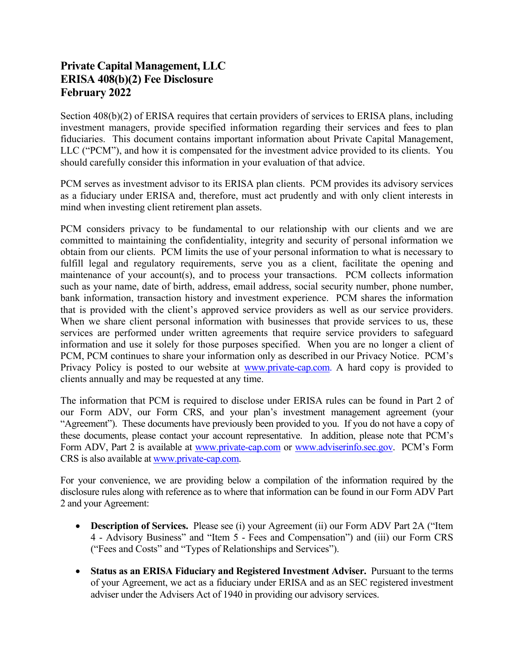## **Private Capital Management, LLC ERISA 408(b)(2) Fee Disclosure February 2022**

Section 408(b)(2) of ERISA requires that certain providers of services to ERISA plans, including investment managers, provide specified information regarding their services and fees to plan fiduciaries. This document contains important information about Private Capital Management, LLC ("PCM"), and how it is compensated for the investment advice provided to its clients. You should carefully consider this information in your evaluation of that advice.

PCM serves as investment advisor to its ERISA plan clients. PCM provides its advisory services as a fiduciary under ERISA and, therefore, must act prudently and with only client interests in mind when investing client retirement plan assets.

PCM considers privacy to be fundamental to our relationship with our clients and we are committed to maintaining the confidentiality, integrity and security of personal information we obtain from our clients. PCM limits the use of your personal information to what is necessary to fulfill legal and regulatory requirements, serve you as a client, facilitate the opening and maintenance of your account(s), and to process your transactions. PCM collects information such as your name, date of birth, address, email address, social security number, phone number, bank information, transaction history and investment experience. PCM shares the information that is provided with the client's approved service providers as well as our service providers. When we share client personal information with businesses that provide services to us, these services are performed under written agreements that require service providers to safeguard information and use it solely for those purposes specified. When you are no longer a client of PCM, PCM continues to share your information only as described in our Privacy Notice. PCM's Privacy Policy is posted to our website at [www.private-cap.com.](https://www.private-cap.com/) A hard copy is provided to clients annually and may be requested at any time.

The information that PCM is required to disclose under ERISA rules can be found in Part 2 of our Form ADV, our Form CRS, and your plan's investment management agreement (your "Agreement"). These documents have previously been provided to you. If you do not have a copy of these documents, please contact your account representative. In addition, please note that PCM's Form ADV, Part 2 is available at [www.private-cap.com](https://www.private-cap.com/) or [www.adviserinfo.sec.gov.](https://adviserinfo.sec.gov/) PCM's Form CRS is also available at [www.private-cap.com.](https://www.private-cap.com/) 

For your convenience, we are providing below a compilation of the information required by the disclosure rules along with reference as to where that information can be found in our Form ADV Part 2 and your Agreement:

- **Description of Services.** Please see (i) your Agreement (ii) our Form ADV Part 2A ("Item 4 - Advisory Business" and "Item 5 - Fees and Compensation") and (iii) our Form CRS ("Fees and Costs" and "Types of Relationships and Services").
- **Status as an ERISA Fiduciary and Registered Investment Adviser.** Pursuant to the terms of your Agreement, we act as a fiduciary under ERISA and as an SEC registered investment adviser under the Advisers Act of 1940 in providing our advisory services.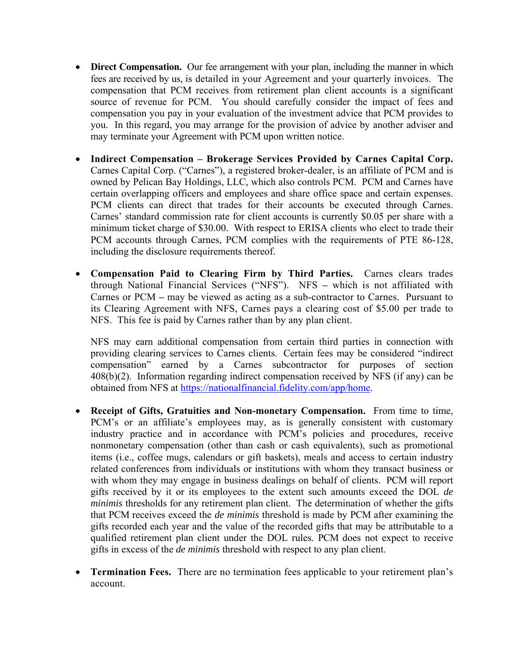- **Direct Compensation.** Our fee arrangement with your plan, including the manner in which fees are received by us, is detailed in your Agreement and your quarterly invoices. The compensation that PCM receives from retirement plan client accounts is a significant source of revenue for PCM. You should carefully consider the impact of fees and compensation you pay in your evaluation of the investment advice that PCM provides to you. In this regard, you may arrange for the provision of advice by another adviser and may terminate your Agreement with PCM upon written notice.
- **Indirect Compensation Brokerage Services Provided by Carnes Capital Corp.**  Carnes Capital Corp. ("Carnes"), a registered broker-dealer, is an affiliate of PCM and is owned by Pelican Bay Holdings, LLC, which also controls PCM. PCM and Carnes have certain overlapping officers and employees and share office space and certain expenses. PCM clients can direct that trades for their accounts be executed through Carnes. Carnes' standard commission rate for client accounts is currently \$0.05 per share with a minimum ticket charge of \$30.00. With respect to ERISA clients who elect to trade their PCM accounts through Carnes, PCM complies with the requirements of PTE 86-128, including the disclosure requirements thereof.
- **Compensation Paid to Clearing Firm by Third Parties.** Carnes clears trades through National Financial Services ("NFS"). NFS **–** which is not affiliated with Carnes or PCM **–** may be viewed as acting as a sub-contractor to Carnes. Pursuant to its Clearing Agreement with NFS, Carnes pays a clearing cost of \$5.00 per trade to NFS. This fee is paid by Carnes rather than by any plan client.

NFS may earn additional compensation from certain third parties in connection with providing clearing services to Carnes clients. Certain fees may be considered "indirect compensation" earned by a Carnes subcontractor for purposes of section 408(b)(2). Information regarding indirect compensation received by NFS (if any) can be obtained from NFS at [https://nationalfinancial.fidelity.com/app/home.](https://nationalfinancial.fidelity.com/app/home) 

- **Receipt of Gifts, Gratuities and Non-monetary Compensation.** From time to time, PCM's or an affiliate's employees may, as is generally consistent with customary industry practice and in accordance with PCM's policies and procedures, receive nonmonetary compensation (other than cash or cash equivalents), such as promotional items (i.e., coffee mugs, calendars or gift baskets), meals and access to certain industry related conferences from individuals or institutions with whom they transact business or with whom they may engage in business dealings on behalf of clients. PCM will report gifts received by it or its employees to the extent such amounts exceed the DOL *de minimis* thresholds for any retirement plan client. The determination of whether the gifts that PCM receives exceed the *de minimis* threshold is made by PCM after examining the gifts recorded each year and the value of the recorded gifts that may be attributable to a qualified retirement plan client under the DOL rules. PCM does not expect to receive gifts in excess of the *de minimis* threshold with respect to any plan client.
- **Termination Fees.** There are no termination fees applicable to your retirement plan's account.